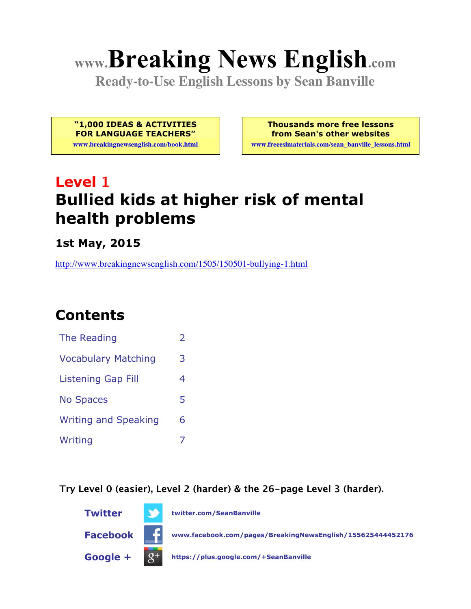# **www.Breaking News English.com**

**Ready-to-Use English Lessons by Sean Banville**

**"1,000 IDEAS & ACTIVITIES FOR LANGUAGE TEACHERS"**

**www.breakingnewsenglish.com/book.html**

**Thousands more free lessons from Sean's other websites**

**www.freeeslmaterials.com/sean\_banville\_lessons.html**

# **Level 1 Bullied kids at higher risk of mental health problems**

**1st May, 2015**

http://www.breakingnewsenglish.com/1505/150501-bullying-1.html

### **Contents**

| The Reading                 | フ |
|-----------------------------|---|
| <b>Vocabulary Matching</b>  | 3 |
| <b>Listening Gap Fill</b>   | 4 |
| <b>No Spaces</b>            | 5 |
| <b>Writing and Speaking</b> | 6 |
| Writing                     |   |

**Try Level 0 (easier), Level 2 (harder) & the 26-page Level 3 (harder).**

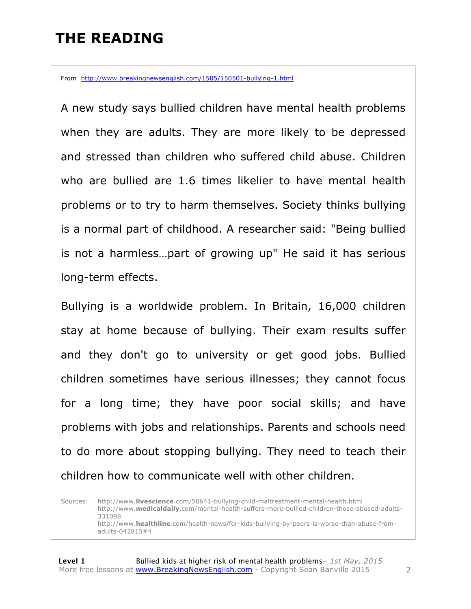### **THE READING**

From http://www.breakingnewsenglish.com/1505/150501-bullying-1.html

A new study says bullied children have mental health problems when they are adults. They are more likely to be depressed and stressed than children who suffered child abuse. Children who are bullied are 1.6 times likelier to have mental health problems or to try to harm themselves. Society thinks bullying is a normal part of childhood. A researcher said: "Being bullied is not a harmless…part of growing up" He said it has serious long-term effects.

Bullying is a worldwide problem. In Britain, 16,000 children stay at home because of bullying. Their exam results suffer and they don't go to university or get good jobs. Bullied children sometimes have serious illnesses; they cannot focus for a long time; they have poor social skills; and have problems with jobs and relationships. Parents and schools need to do more about stopping bullying. They need to teach their children how to communicate well with other children.

Sources: http://www.**livescience**.com/50641-bullying-child-maltreatment-mental-health.html http://www.**medicaldaily**.com/mental-health-suffers-more-bullied-children-those-abused-adults-331098 http://www.**healthline**.com/health-news/for-kids-bullying-by-peers-is-worse-than-abuse-fromadults-042815#4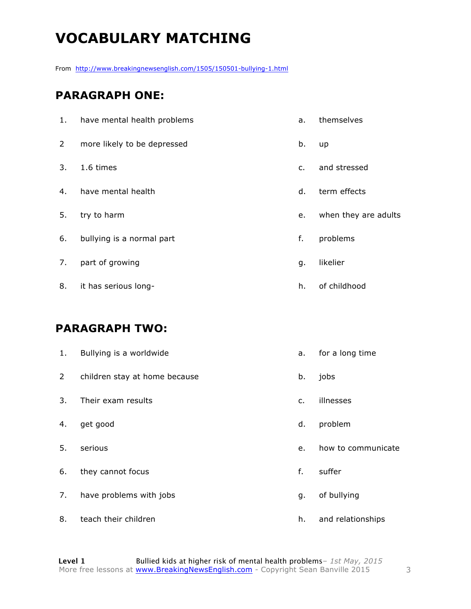# **VOCABULARY MATCHING**

From http://www.breakingnewsenglish.com/1505/150501-bullying-1.html

#### **PARAGRAPH ONE:**

| 1.             | have mental health problems | a.             | themselves           |
|----------------|-----------------------------|----------------|----------------------|
| $\overline{2}$ | more likely to be depressed | b.             | up                   |
| 3.             | 1.6 times                   | $\mathsf{C}$ . | and stressed         |
| 4.             | have mental health          | d.             | term effects         |
| 5.             | try to harm                 | e.             | when they are adults |
| 6.             | bullying is a normal part   | f.             | problems             |
| 7.             | part of growing             | g.             | likelier             |
| 8.             | it has serious long-        | h.             | of childhood         |

#### **PARAGRAPH TWO:**

| 1.             | Bullying is a worldwide       | a. | for a long time    |
|----------------|-------------------------------|----|--------------------|
| $\overline{2}$ | children stay at home because | b. | jobs               |
| 3.             | Their exam results            | c. | illnesses          |
| 4.             | get good                      | d. | problem            |
| 5.             | serious                       | e. | how to communicate |
| 6.             | they cannot focus             | f. | suffer             |
| 7.             | have problems with jobs       | g. | of bullying        |
| 8.             | teach their children          | h. | and relationships  |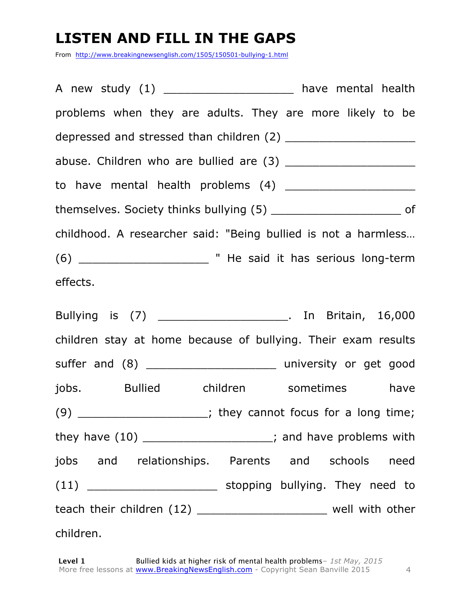# **LISTEN AND FILL IN THE GAPS**

From http://www.breakingnewsenglish.com/1505/150501-bullying-1.html

| A new study (1) ______________________ have mental health              |  |  |
|------------------------------------------------------------------------|--|--|
| problems when they are adults. They are more likely to be              |  |  |
| depressed and stressed than children (2) ________________________      |  |  |
|                                                                        |  |  |
|                                                                        |  |  |
| themselves. Society thinks bullying (5) ___________________________ of |  |  |
| childhood. A researcher said: "Being bullied is not a harmless         |  |  |
|                                                                        |  |  |
| effects.                                                               |  |  |
| Bullying is (7) ___________________________. In Britain, 16,000        |  |  |
| children stay at home because of bullying. Their exam results          |  |  |
|                                                                        |  |  |
| jobs. Bullied children sometimes have                                  |  |  |
| $(9)$ _____________________; they cannot focus for a long time;        |  |  |
| they have $(10)$ ______________________; and have problems with        |  |  |
| jobs and relationships. Parents and schools need                       |  |  |
| (11) ___________________________ stopping bullying. They need to       |  |  |
| teach their children (12) ________________________ well with other     |  |  |
| children.                                                              |  |  |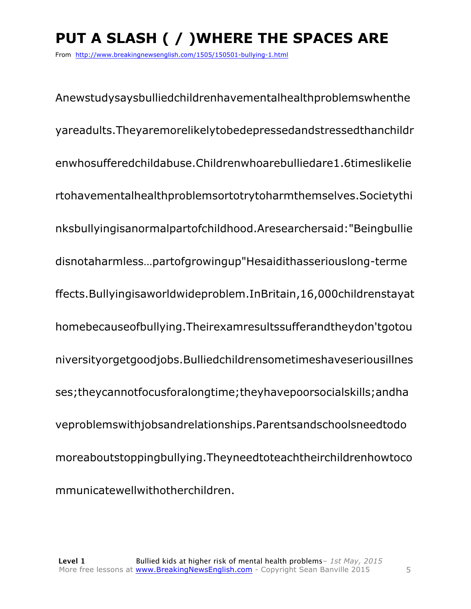# **PUT A SLASH ( / )WHERE THE SPACES ARE**

From http://www.breakingnewsenglish.com/1505/150501-bullying-1.html

Anewstudysaysbulliedchildrenhavementalhealthproblemswhenthe yareadults.Theyaremorelikelytobedepressedandstressedthanchildr enwhosufferedchildabuse.Childrenwhoarebulliedare1.6timeslikelie rtohavementalhealthproblemsortotrytoharmthemselves.Societythi nksbullyingisanormalpartofchildhood.Aresearchersaid:"Beingbullie disnotaharmless…partofgrowingup"Hesaidithasseriouslong-terme ffects.Bullyingisaworldwideproblem.InBritain,16,000childrenstayat homebecauseofbullying.Theirexamresultssufferandtheydon'tgotou niversityorgetgoodjobs.Bulliedchildrensometimeshaveseriousillnes ses;theycannotfocusforalongtime;theyhavepoorsocialskills;andha veproblemswithjobsandrelationships.Parentsandschoolsneedtodo moreaboutstoppingbullying.Theyneedtoteachtheirchildrenhowtoco mmunicatewellwithotherchildren.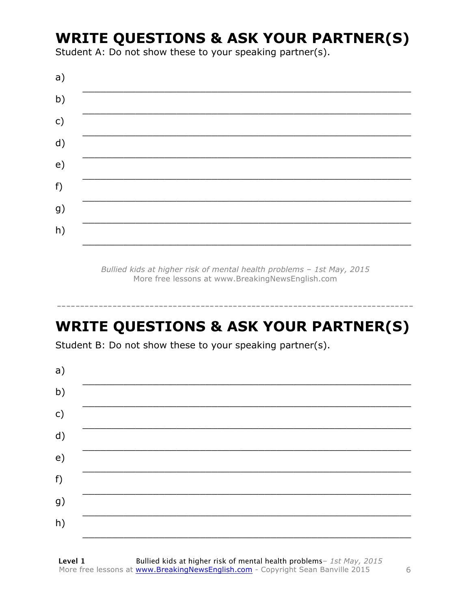### **WRITE QUESTIONS & ASK YOUR PARTNER(S)**

Student A: Do not show these to your speaking partner(s).

| a)            |  |
|---------------|--|
| b)            |  |
| $\mathsf{c})$ |  |
| d)            |  |
| e)            |  |
| f)            |  |
| g)            |  |
| h)            |  |
|               |  |

Bullied kids at higher risk of mental health problems - 1st May, 2015 More free lessons at www.BreakingNewsEnglish.com

# **WRITE QUESTIONS & ASK YOUR PARTNER(S)**

Student B: Do not show these to your speaking partner(s).